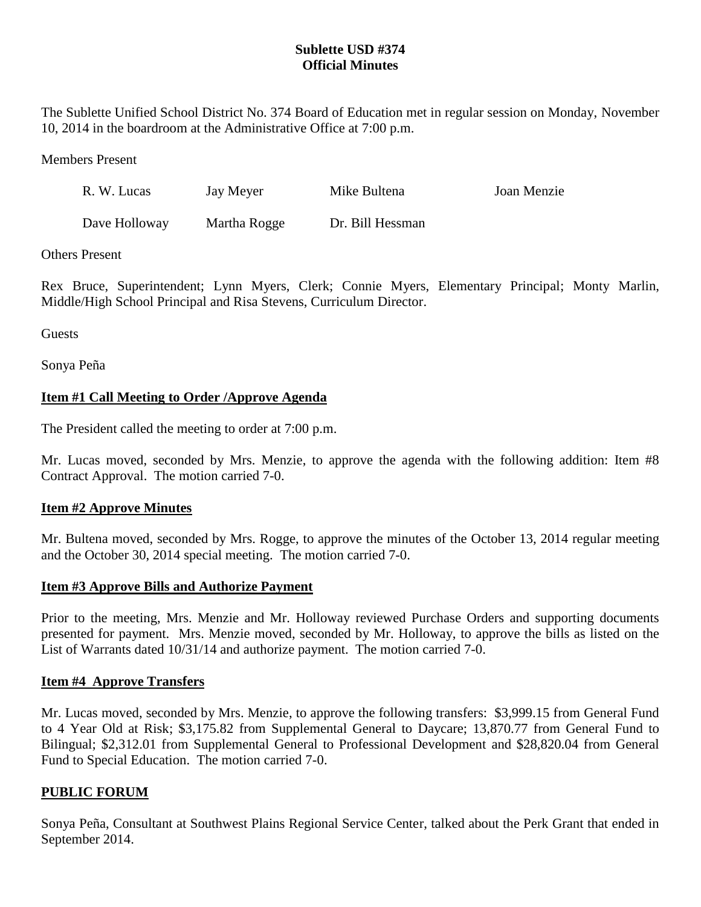## **Sublette USD #374 Official Minutes**

The Sublette Unified School District No. 374 Board of Education met in regular session on Monday, November 10, 2014 in the boardroom at the Administrative Office at 7:00 p.m.

Members Present

| R. W. Lucas   | Jay Meyer    | Mike Bultena     | Joan Menzie |
|---------------|--------------|------------------|-------------|
| Dave Holloway | Martha Rogge | Dr. Bill Hessman |             |

Others Present

Rex Bruce, Superintendent; Lynn Myers, Clerk; Connie Myers, Elementary Principal; Monty Marlin, Middle/High School Principal and Risa Stevens, Curriculum Director.

Guests

Sonya Peña

## **Item #1 Call Meeting to Order /Approve Agenda**

The President called the meeting to order at 7:00 p.m.

Mr. Lucas moved, seconded by Mrs. Menzie, to approve the agenda with the following addition: Item #8 Contract Approval. The motion carried 7-0.

## **Item #2 Approve Minutes**

Mr. Bultena moved, seconded by Mrs. Rogge, to approve the minutes of the October 13, 2014 regular meeting and the October 30, 2014 special meeting. The motion carried 7-0.

## **Item #3 Approve Bills and Authorize Payment**

Prior to the meeting, Mrs. Menzie and Mr. Holloway reviewed Purchase Orders and supporting documents presented for payment. Mrs. Menzie moved, seconded by Mr. Holloway, to approve the bills as listed on the List of Warrants dated 10/31/14 and authorize payment. The motion carried 7-0.

#### **Item #4 Approve Transfers**

Mr. Lucas moved, seconded by Mrs. Menzie, to approve the following transfers: \$3,999.15 from General Fund to 4 Year Old at Risk; \$3,175.82 from Supplemental General to Daycare; 13,870.77 from General Fund to Bilingual; \$2,312.01 from Supplemental General to Professional Development and \$28,820.04 from General Fund to Special Education. The motion carried 7-0.

#### **PUBLIC FORUM**

Sonya Peña, Consultant at Southwest Plains Regional Service Center, talked about the Perk Grant that ended in September 2014.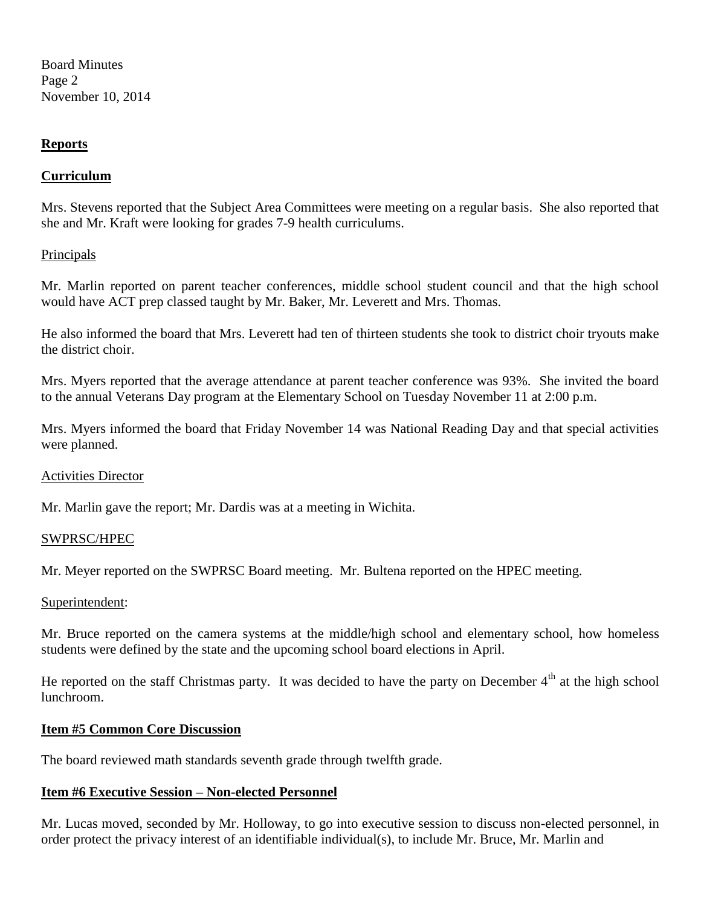Board Minutes Page 2 November 10, 2014

### **Reports**

### **Curriculum**

Mrs. Stevens reported that the Subject Area Committees were meeting on a regular basis. She also reported that she and Mr. Kraft were looking for grades 7-9 health curriculums.

### Principals

Mr. Marlin reported on parent teacher conferences, middle school student council and that the high school would have ACT prep classed taught by Mr. Baker, Mr. Leverett and Mrs. Thomas.

He also informed the board that Mrs. Leverett had ten of thirteen students she took to district choir tryouts make the district choir.

Mrs. Myers reported that the average attendance at parent teacher conference was 93%. She invited the board to the annual Veterans Day program at the Elementary School on Tuesday November 11 at 2:00 p.m.

Mrs. Myers informed the board that Friday November 14 was National Reading Day and that special activities were planned.

#### Activities Director

Mr. Marlin gave the report; Mr. Dardis was at a meeting in Wichita.

#### SWPRSC/HPEC

Mr. Meyer reported on the SWPRSC Board meeting. Mr. Bultena reported on the HPEC meeting.

#### Superintendent:

Mr. Bruce reported on the camera systems at the middle/high school and elementary school, how homeless students were defined by the state and the upcoming school board elections in April.

He reported on the staff Christmas party. It was decided to have the party on December  $4<sup>th</sup>$  at the high school lunchroom.

#### **Item #5 Common Core Discussion**

The board reviewed math standards seventh grade through twelfth grade.

#### **Item #6 Executive Session – Non-elected Personnel**

Mr. Lucas moved, seconded by Mr. Holloway, to go into executive session to discuss non-elected personnel, in order protect the privacy interest of an identifiable individual(s), to include Mr. Bruce, Mr. Marlin and